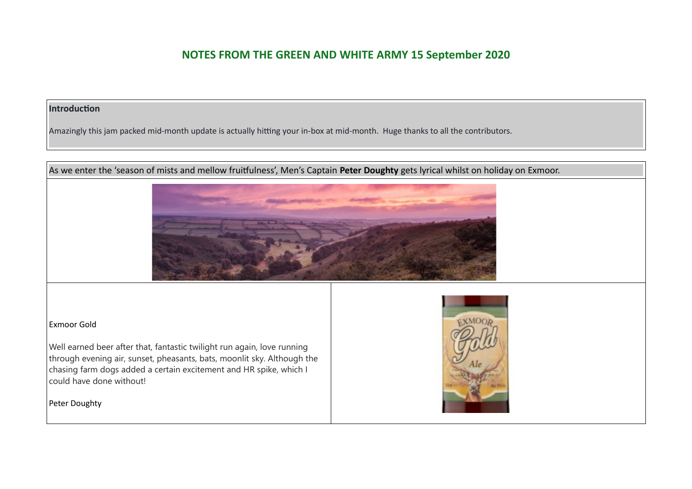#### **Introduction**

Amazingly this jam packed mid-month update is actually hitting your in-box at mid-month. Huge thanks to all the contributors.

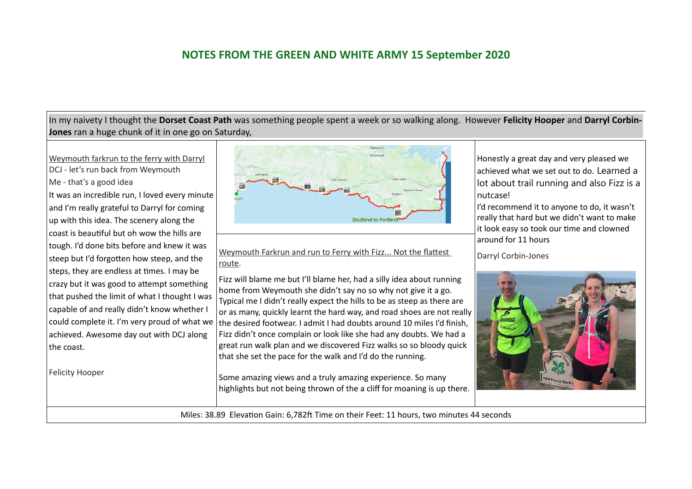In my naivety I thought the **Dorset Coast Path** was something people spent a week or so walking along. However **Felicity Hooper** and **Darryl Corbin-Jones** ran a huge chunk of it in one go on Saturday,

Weymouth farkrun to the ferry with Darryl DCJ - let's run back from Weymouth Me - that's a good idea It was an incredible run, I loved every minute and I'm really grateful to Darryl for coming up with this idea. The scenery along the coast is beautiful but oh wow the hills are tough. I'd done bits before and knew it was steep but I'd forgotten how steep, and the steps, they are endless at times. I may be crazy but it was good to attempt something that pushed the limit of what I thought I was capable of and really didn't know whether I could complete it. I'm very proud of what we achieved. Awesome day out with DCJ along the coast.

Felicity Hooper



Weymouth Farkrun and run to Ferry with Fizz... Not the flattest  $\Box$  Darryl Corbin-Jones route.

Fizz will blame me but I'll blame her, had a silly idea about running home from Weymouth she didn't say no so why not give it a go. Typical me I didn't really expect the hills to be as steep as there are or as many, quickly learnt the hard way, and road shoes are not really the desired footwear. I admit I had doubts around 10 miles I'd finish, Fizz didn't once complain or look like she had any doubts. We had a great run walk plan and we discovered Fizz walks so so bloody quick that she set the pace for the walk and I'd do the running.

Some amazing views and a truly amazing experience. So many highlights but not being thrown of the a cliff for moaning is up there. Honestly a great day and very pleased we achieved what we set out to do. Learned a lot about trail running and also Fizz is a nutcase!

I'd recommend it to anyone to do, it wasn't really that hard but we didn't want to make it look easy so took our time and clowned around for 11 hours



Miles: 38.89 Elevation Gain: 6,782ft Time on their Feet: 11 hours, two minutes 44 seconds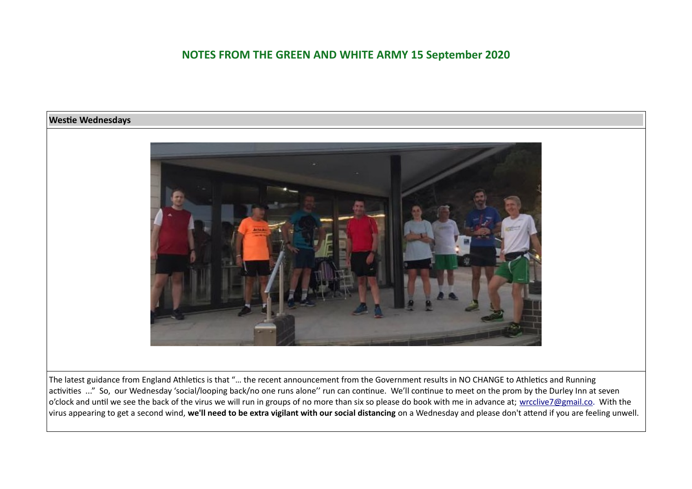

The latest guidance from England Athletics is that "… the recent announcement from the Government results in NO CHANGE to Athletics and Running activities ..." So, our Wednesday 'social/looping back/no one runs alone'' run can continue. We'll continue to meet on the prom by the Durley Inn at seven  $\sim$  o'clock and until we see the back of the virus we will run in groups of no more than six so please do book with me in advance at; [wrcclive7@gmail.co](mailto:wrcclive7@gmail.co). With the virus appearing to get a second wind, **we'll need to be extra vigilant with our social distancing** on a Wednesday and please don't attend if you are feeling unwell.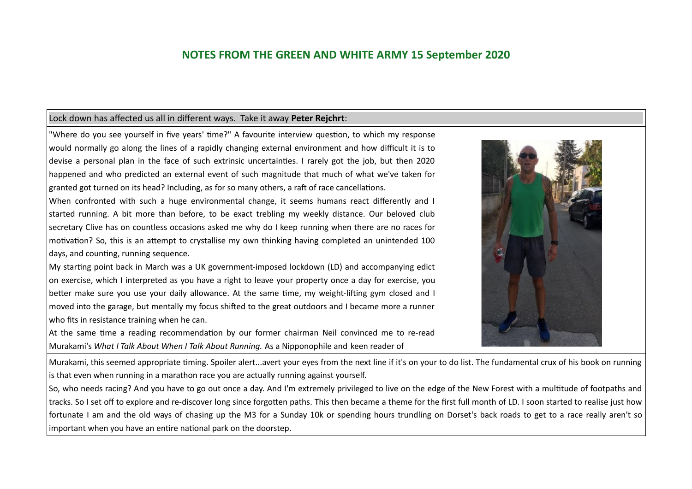#### Lock down has affected us all in different ways. Take it away **Peter Rejchrt**:

"Where do you see yourself in five years' time?" A favourite interview question, to which my response would normally go along the lines of a rapidly changing external environment and how difficult it is to devise a personal plan in the face of such extrinsic uncertainties. I rarely got the job, but then 2020 happened and who predicted an external event of such magnitude that much of what we've taken for granted got turned on its head? Including, as for so many others, a raft of race cancellations.

When confronted with such a huge environmental change, it seems humans react differently and I started running. A bit more than before, to be exact trebling my weekly distance. Our beloved club secretary Clive has on countless occasions asked me why do I keep running when there are no races for motivation? So, this is an attempt to crystallise my own thinking having completed an unintended 100 days, and counting, running sequence.

My starting point back in March was a UK government-imposed lockdown (LD) and accompanying edict on exercise, which I interpreted as you have a right to leave your property once a day for exercise, you better make sure you use your daily allowance. At the same time, my weight-lifting gym closed and I moved into the garage, but mentally my focus shifted to the great outdoors and I became more a runner who fits in resistance training when he can.

At the same time a reading recommendation by our former chairman Neil convinced me to re-read Murakami's *What I Talk About When I Talk About Running.* As a Nipponophile and keen reader of

Murakami, this seemed appropriate timing. Spoiler alert...avert your eyes from the next line if it's on your to do list. The fundamental crux of his book on running is that even when running in a marathon race you are actually running against yourself.

So, who needs racing? And you have to go out once a day. And I'm extremely privileged to live on the edge of the New Forest with a multitude of footpaths and tracks. So I set off to explore and re-discover long since forgotten paths. This then became a theme for the first full month of LD. I soon started to realise just how fortunate I am and the old ways of chasing up the M3 for a Sunday 10k or spending hours trundling on Dorset's back roads to get to a race really aren't so important when you have an entire national park on the doorstep.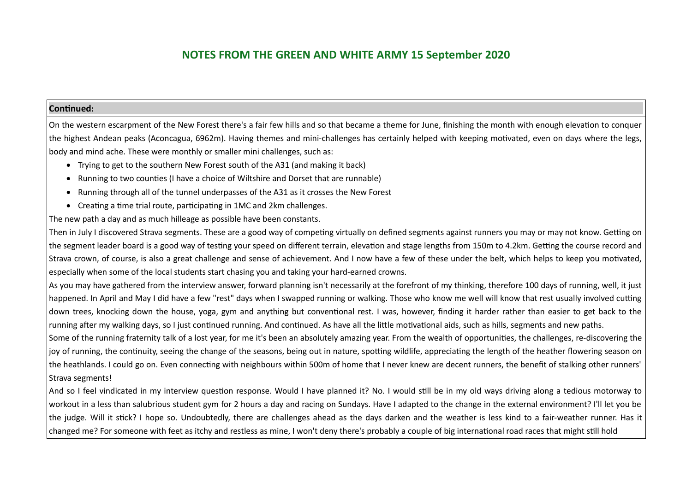#### **Continued:**

On the western escarpment of the New Forest there's a fair few hills and so that became a theme for June, finishing the month with enough elevation to conquer the highest Andean peaks (Aconcagua, 6962m). Having themes and mini-challenges has certainly helped with keeping motivated, even on days where the legs, body and mind ache. These were monthly or smaller mini challenges, such as:

- Trying to get to the southern New Forest south of the A31 (and making it back)
- Running to two counties (I have a choice of Wiltshire and Dorset that are runnable)
- Running through all of the tunnel underpasses of the A31 as it crosses the New Forest
- Creating a time trial route, participating in 1MC and 2km challenges.

The new path a day and as much hilleage as possible have been constants.

Then in July I discovered Strava segments. These are a good way of competing virtually on defined segments against runners you may or may not know. Getting on the segment leader board is a good way of testing your speed on different terrain, elevation and stage lengths from 150m to 4.2km. Getting the course record and Strava crown, of course, is also a great challenge and sense of achievement. And I now have a few of these under the belt, which helps to keep you motivated, especially when some of the local students start chasing you and taking your hard-earned crowns.

As you may have gathered from the interview answer, forward planning isn't necessarily at the forefront of my thinking, therefore 100 days of running, well, it just happened. In April and May I did have a few "rest" days when I swapped running or walking. Those who know me well will know that rest usually involved cutting down trees, knocking down the house, yoga, gym and anything but conventional rest. I was, however, finding it harder rather than easier to get back to the running after my walking days, so I just continued running. And continued. As have all the little motivational aids, such as hills, segments and new paths.

Some of the running fraternity talk of a lost year, for me it's been an absolutely amazing year. From the wealth of opportunities, the challenges, re-discovering the joy of running, the continuity, seeing the change of the seasons, being out in nature, spotting wildlife, appreciating the length of the heather flowering season on the heathlands. I could go on. Even connecting with neighbours within 500m of home that I never knew are decent runners, the benefit of stalking other runners' Strava segments!

And so I feel vindicated in my interview question response. Would I have planned it? No. I would still be in my old ways driving along a tedious motorway to workout in a less than salubrious student gym for 2 hours a day and racing on Sundays. Have I adapted to the change in the external environment? I'll let you be the judge. Will it stick? I hope so. Undoubtedly, there are challenges ahead as the days darken and the weather is less kind to a fair-weather runner. Has it changed me? For someone with feet as itchy and restless as mine, I won't deny there's probably a couple of big international road races that might still hold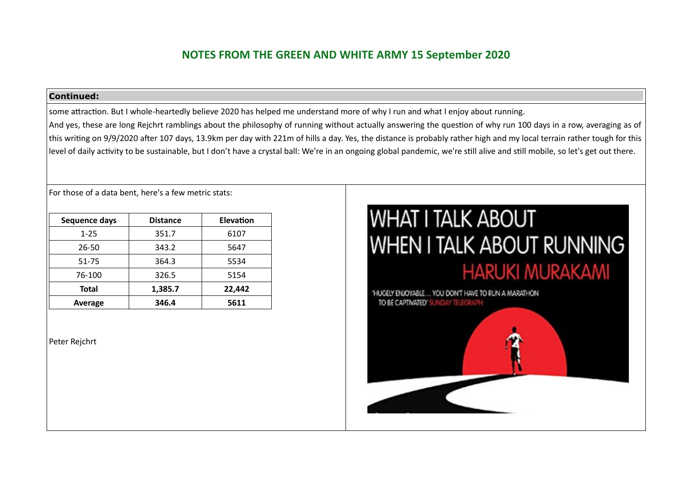#### **Continued:**

some attraction. But I whole-heartedly believe 2020 has helped me understand more of why I run and what I enjoy about running. And yes, these are long Rejchrt ramblings about the philosophy of running without actually answering the question of why run 100 days in a row, averaging as of this writing on 9/9/2020 after 107 days, 13.9km per day with 221m of hills a day. Yes, the distance is probably rather high and my local terrain rather tough for this level of daily activity to be sustainable, but I don't have a crystal ball: We're in an ongoing global pandemic, we're still alive and still mobile, so let's get out there.

For those of a data bent, here's a few metric stats:

| Sequence days | <b>Distance</b> | Elevation |  |
|---------------|-----------------|-----------|--|
| $1 - 25$      | 351.7           | 6107      |  |
| 26-50         | 343.2           | 5647      |  |
| 51-75         | 364.3           | 5534      |  |
| 76-100        | 326.5           | 5154      |  |
| <b>Total</b>  | 1,385.7         | 22.442    |  |
| Average       | 346.4           | 5611      |  |

Peter Rejchrt

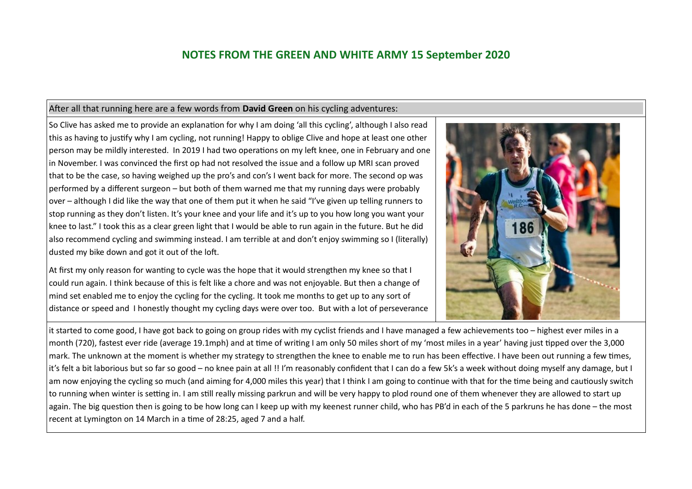#### After all that running here are a few words from **David Green** on his cycling adventures:

So Clive has asked me to provide an explanation for why I am doing 'all this cycling', although I also read this as having to justify why I am cycling, not running! Happy to oblige Clive and hope at least one other person may be mildly interested. In 2019 I had two operations on my left knee, one in February and one in November. I was convinced the first op had not resolved the issue and a follow up MRI scan proved that to be the case, so having weighed up the pro's and con's I went back for more. The second op was performed by a different surgeon – but both of them warned me that my running days were probably over – although I did like the way that one of them put it when he said "I've given up telling runners to stop running as they don't listen. It's your knee and your life and it's up to you how long you want your knee to last." I took this as a clear green light that I would be able to run again in the future. But he did also recommend cycling and swimming instead. I am terrible at and don't enjoy swimming so I (literally) dusted my bike down and got it out of the loft.

At first my only reason for wanting to cycle was the hope that it would strengthen my knee so that I could run again. I think because of this is felt like a chore and was not enjoyable. But then a change of mind set enabled me to enjoy the cycling for the cycling. It took me months to get up to any sort of distance or speed and I honestly thought my cycling days were over too. But with a lot of perseverance



it started to come good, I have got back to going on group rides with my cyclist friends and I have managed a few achievements too – highest ever miles in a month (720), fastest ever ride (average 19.1mph) and at time of writing I am only 50 miles short of my 'most miles in a year' having just tipped over the 3,000 mark. The unknown at the moment is whether my strategy to strengthen the knee to enable me to run has been effective. I have been out running a few times, it's felt a bit laborious but so far so good – no knee pain at all !! I'm reasonably confident that I can do a few 5k's a week without doing myself any damage, but I am now enjoying the cycling so much (and aiming for 4,000 miles this year) that I think I am going to continue with that for the time being and cautiously switch to running when winter is setting in. I am still really missing parkrun and will be very happy to plod round one of them whenever they are allowed to start up again. The big question then is going to be how long can I keep up with my keenest runner child, who has PB'd in each of the 5 parkruns he has done – the most recent at Lymington on 14 March in a time of 28:25, aged 7 and a half.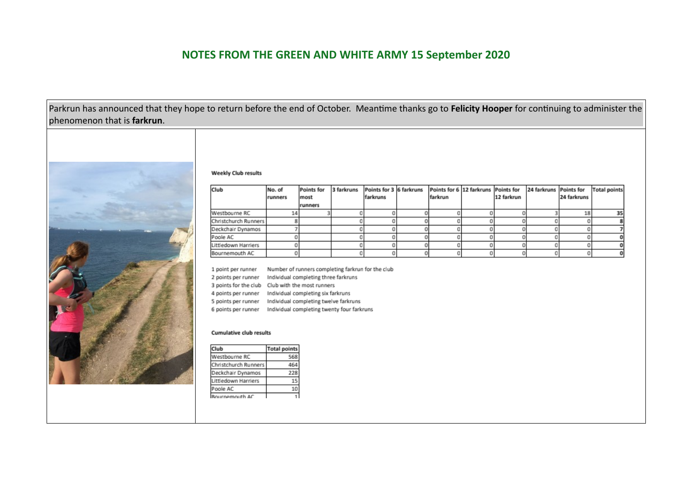Parkrun has announced that they hope to return before the end of October. Meantime thanks go to **Felicity Hooper** for continuing to administer the phenomenon that is **farkrun**.



#### **Weekly Club results**

| Club                 | No. of<br>runners | Points for<br>most | 3 farkruns | Points for 3 6 farkruns<br>farkruns | farkrun | Points for 6 12 farkruns Points for | 12 farkrun | 24 farkruns Points for | 24 farkruns | <b>Total points</b> |
|----------------------|-------------------|--------------------|------------|-------------------------------------|---------|-------------------------------------|------------|------------------------|-------------|---------------------|
|                      |                   | runners            |            |                                     |         |                                     |            |                        |             |                     |
| Westbourne RC        |                   |                    |            |                                     |         |                                     |            |                        | 18          |                     |
| Christchurch Runners |                   |                    |            |                                     |         |                                     |            |                        |             |                     |
| Deckchair Dynamos    |                   |                    |            |                                     |         |                                     |            |                        |             |                     |
| Poole AC             |                   |                    |            |                                     |         |                                     |            |                        |             |                     |
| Littledown Harriers  |                   |                    |            |                                     |         |                                     |            |                        |             |                     |
| Bournemouth AC       |                   |                    |            |                                     |         |                                     |            |                        |             |                     |

1 point per runner Number of runners completing farkrun for the club

2 points per runner Individual completing three farkruns

3 points for the club Club with the most runners

4 points per runner Individual completing six farkruns

5 points per runner Individual completing twelve farkruns

6 points per runner Individual completing twenty four farkruns

#### **Cumulative club results**

| :lub                 | <b>Total points</b> |
|----------------------|---------------------|
| <b>Nestbourne RC</b> | 568                 |
| Christchurch Runners |                     |
| Deckchair Dynamos    | 228                 |
| littledown Harriers  |                     |
| oole AC              |                     |
| semouth AC           |                     |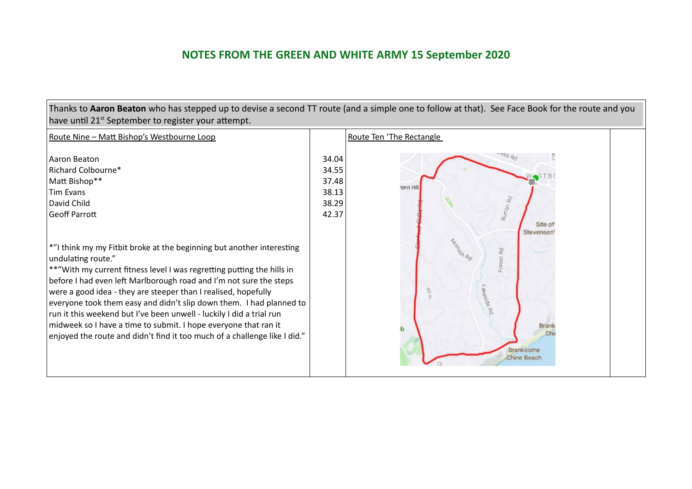| Thanks to Aaron Beaton who has stepped up to devise a second TT route (and a simple one to follow at that). See Face Book for the route and you<br>have until 21 <sup>st</sup> September to register your attempt.                                                                                                                                                                                                       |                                                    |                                                                    |  |  |
|--------------------------------------------------------------------------------------------------------------------------------------------------------------------------------------------------------------------------------------------------------------------------------------------------------------------------------------------------------------------------------------------------------------------------|----------------------------------------------------|--------------------------------------------------------------------|--|--|
| Route Nine - Matt Bishop's Westbourne Loop                                                                                                                                                                                                                                                                                                                                                                               |                                                    | Route Ten 'The Rectangle                                           |  |  |
| Aaron Beaton<br>Richard Colbourne*<br>Matt Bishop**<br><b>Tim Evans</b><br>David Child<br>Geoff Parrott<br>*"I think my my Fitbit broke at the beginning but another interesting<br>undulating route."<br>**"With my current fitness level I was regretting putting the hills in<br>before I had even left Marlborough road and I'm not sure the steps<br>were a good idea - they are steeper than I realised, hopefully | 34.04<br>34.55<br>37.48<br>38.13<br>38.29<br>42.37 | enn H<br>Site of<br>Stevenson<br>Forest Rd                         |  |  |
| everyone took them easy and didn't slip down them. I had planned to<br>run it this weekend but I've been unwell - luckily I did a trial run<br>midweek so I have a time to submit. I hope everyone that ran it<br>enjoyed the route and didn't find it too much of a challenge like I did."                                                                                                                              |                                                    | reside Rd<br><b>Brank</b><br>ıb<br>Branksome<br><b>Chine Beach</b> |  |  |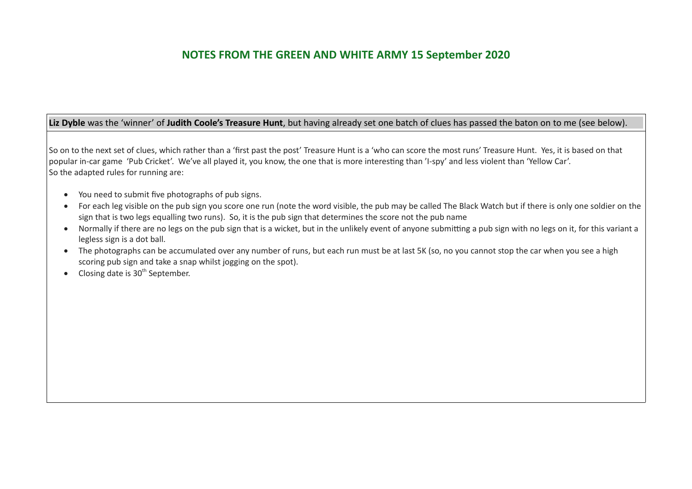#### Liz Dyble was the 'winner' of Judith Coole's Treasure Hunt, but having already set one batch of clues has passed the baton on to me (see below).

So on to the next set of clues, which rather than a 'first past the post' Treasure Hunt is a 'who can score the most runs' Treasure Hunt. Yes, it is based on that popular in-car game 'Pub Cricket'. We've all played it, you know, the one that is more interesting than 'I-spy' and less violent than 'Yellow Car'. So the adapted rules for running are:

- You need to submit five photographs of pub signs.
- For each leg visible on the pub sign you score one run (note the word visible, the pub may be called The Black Watch but if there is only one soldier on the sign that is two legs equalling two runs). So, it is the pub sign that determines the score not the pub name
- Normally if there are no legs on the pub sign that is a wicket, but in the unlikely event of anyone submitting a pub sign with no legs on it, for this variant a legless sign is a dot ball.
- The photographs can be accumulated over any number of runs, but each run must be at last 5K (so, no you cannot stop the car when you see a high scoring pub sign and take a snap whilst jogging on the spot).
- $\bullet$  Closing date is 30<sup>th</sup> September.